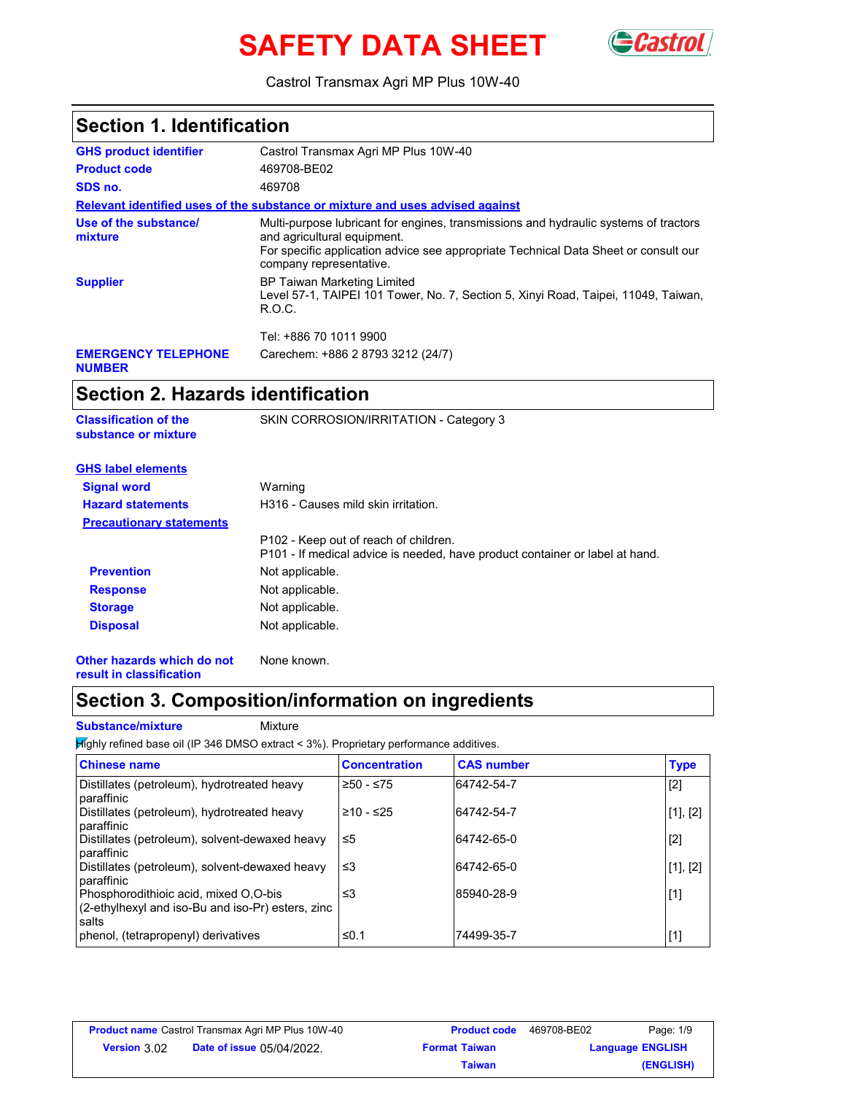# **SAFETY DATA SHEET GCastrol**



Castrol Transmax Agri MP Plus 10W-40

| <b>Section 1. Identification</b>                       |                                                                                                                                                                                                                                       |
|--------------------------------------------------------|---------------------------------------------------------------------------------------------------------------------------------------------------------------------------------------------------------------------------------------|
| <b>GHS product identifier</b>                          | Castrol Transmax Agri MP Plus 10W-40                                                                                                                                                                                                  |
| <b>Product code</b>                                    | 469708-BE02                                                                                                                                                                                                                           |
| SDS no.                                                | 469708                                                                                                                                                                                                                                |
|                                                        | Relevant identified uses of the substance or mixture and uses advised against                                                                                                                                                         |
| Use of the substance/<br>mixture                       | Multi-purpose lubricant for engines, transmissions and hydraulic systems of tractors<br>and agricultural equipment.<br>For specific application advice see appropriate Technical Data Sheet or consult our<br>company representative. |
| <b>Supplier</b>                                        | <b>BP Taiwan Marketing Limited</b><br>Level 57-1, TAIPEI 101 Tower, No. 7, Section 5, Xinyi Road, Taipei, 11049, Taiwan,<br>R.O.C.                                                                                                    |
|                                                        | Tel: +886 70 1011 9900                                                                                                                                                                                                                |
| <b>EMERGENCY TELEPHONE</b><br><b>NUMBER</b>            | Carechem: +886 2 8793 3212 (24/7)                                                                                                                                                                                                     |
| <b>Section 2. Hazards identification</b>               |                                                                                                                                                                                                                                       |
| <b>Classification of the</b><br>substance or mixture   | SKIN CORROSION/IRRITATION - Category 3                                                                                                                                                                                                |
| <b>GHS label elements</b>                              |                                                                                                                                                                                                                                       |
| <b>Signal word</b>                                     | Warning                                                                                                                                                                                                                               |
| <b>Hazard statements</b>                               | H316 - Causes mild skin irritation.                                                                                                                                                                                                   |
| <b>Precautionary statements</b>                        |                                                                                                                                                                                                                                       |
|                                                        | P102 - Keep out of reach of children.<br>P101 - If medical advice is needed, have product container or label at hand.                                                                                                                 |
| <b>Prevention</b>                                      | Not applicable.                                                                                                                                                                                                                       |
| <b>Response</b>                                        | Not applicable.                                                                                                                                                                                                                       |
| <b>Storage</b>                                         | Not applicable.                                                                                                                                                                                                                       |
| <b>Disposal</b>                                        | Not applicable.                                                                                                                                                                                                                       |
| Other hazards which do not<br>result in classification | None known.                                                                                                                                                                                                                           |
|                                                        | Section 3. Composition/information on ingredients                                                                                                                                                                                     |

#### **Substance/mixture** Mixture

**Highly refined base oil (IP 346 DMSO extract < 3%). Proprietary performance additives.** 

| <b>Chinese name</b>                                                                                 | <b>Concentration</b> | <b>CAS number</b> | <b>Type</b> |
|-----------------------------------------------------------------------------------------------------|----------------------|-------------------|-------------|
| Distillates (petroleum), hydrotreated heavy<br>paraffinic                                           | $≥50 - ≤75$          | 64742-54-7        | $[2]$       |
| Distillates (petroleum), hydrotreated heavy<br>paraffinic                                           | ≥10 - ≤25            | 64742-54-7        | [1], [2]    |
| Distillates (petroleum), solvent-dewaxed heavy<br>paraffinic                                        | ≤5                   | 64742-65-0        | $[2]$       |
| Distillates (petroleum), solvent-dewaxed heavy<br>paraffinic                                        | ו≥ ≤                 | 64742-65-0        | [1], [2]    |
| Phosphorodithioic acid, mixed O,O-bis<br>(2-ethylhexyl and iso-Bu and iso-Pr) esters, zinc<br>salts | ≤3                   | 85940-28-9        | $[1]$       |
| phenol, (tetrapropenyl) derivatives                                                                 | ≤0.1                 | 74499-35-7        | $[1]$       |

| <b>Product name</b> Castrol Transmax Agri MP Plus 10W-40 |                                  | <b>Product code</b>  | 469708-BE02 | Page: 1/9               |
|----------------------------------------------------------|----------------------------------|----------------------|-------------|-------------------------|
| <b>Version 3.02</b>                                      | <b>Date of issue 05/04/2022.</b> | <b>Format Taiwan</b> |             | <b>Language ENGLISH</b> |
|                                                          |                                  | Taiwan               |             | (ENGLISH)               |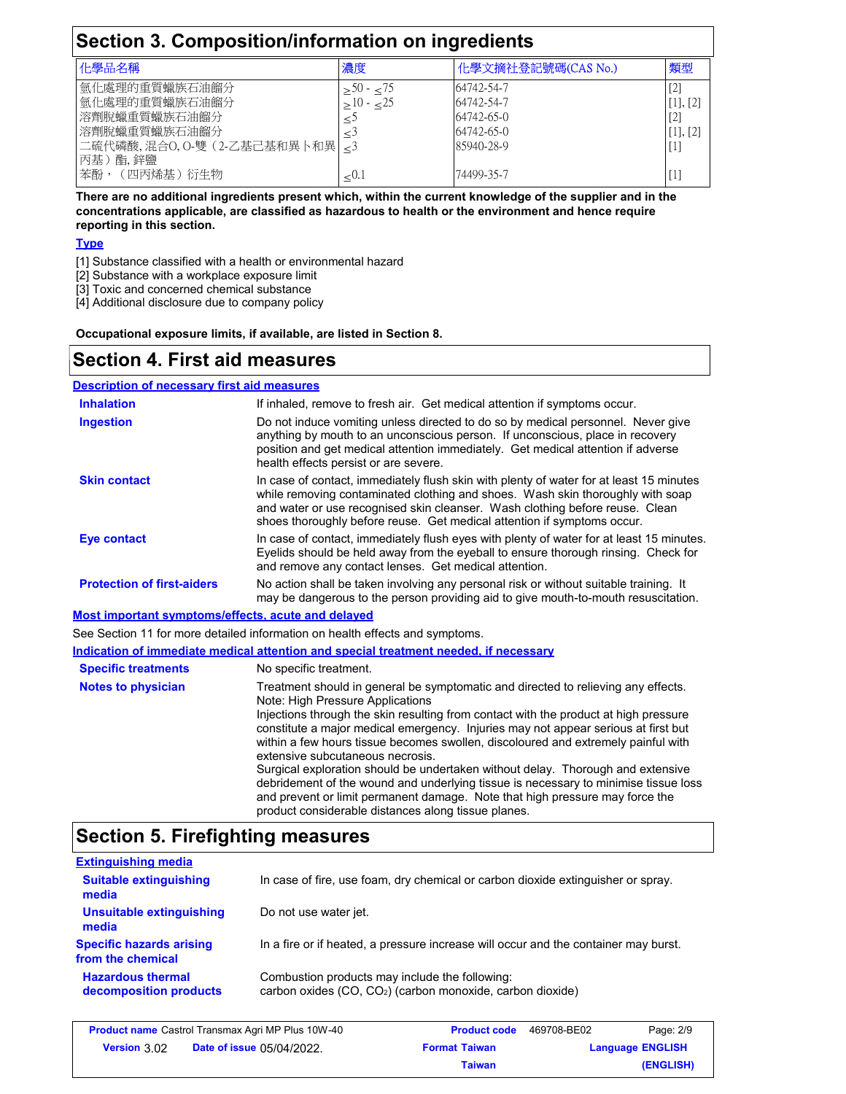| Section 3. Composition/information on ingredients                                                            |                           |                                                                    |                                        |
|--------------------------------------------------------------------------------------------------------------|---------------------------|--------------------------------------------------------------------|----------------------------------------|
| 化學品名稱                                                                                                        | 濃度                        | 化學文摘社登記號碼(CAS No.)                                                 | 類型                                     |
| 氫化處理的重質蠟族石油餾分<br>氫化處理的重質蠟族石油餾分<br>溶劑脫蠟重質蠟族石油餾分<br>溶劑脫蠟重質蠟族石油餾分<br> 二硫代磷酸,混合O,O-雙 (2-乙基己基和異卜和異  <3<br>丙基)酯.鋅鹽 | $> 50 - 75$<br>$>10 - 25$ | 64742-54-7<br>64742-54-7<br>64742-65-0<br>64742-65-0<br>85940-28-9 | $[2]$<br>[1], [2]<br>$[2]$<br>[1], [2] |
| 苯酚,(四丙烯基)衍生物                                                                                                 | < 0.1                     | 74499-35-7                                                         |                                        |

**There are no additional ingredients present which, within the current knowledge of the supplier and in the concentrations applicable, are classified as hazardous to health or the environment and hence require reporting in this section.**

#### **Type**

[1] Substance classified with a health or environmental hazard

[2] Substance with a workplace exposure limit

[3] Toxic and concerned chemical substance

[4] Additional disclosure due to company policy

**Occupational exposure limits, if available, are listed in Section 8.**

### **Section 4. First aid measures**

#### **Description of necessary first aid measures**

| <b>Inhalation</b>                                  | If inhaled, remove to fresh air. Get medical attention if symptoms occur.                                                                                                                                                                                                                                                                                                                                                                                                                                                                                                                                                                                                                                                                     |
|----------------------------------------------------|-----------------------------------------------------------------------------------------------------------------------------------------------------------------------------------------------------------------------------------------------------------------------------------------------------------------------------------------------------------------------------------------------------------------------------------------------------------------------------------------------------------------------------------------------------------------------------------------------------------------------------------------------------------------------------------------------------------------------------------------------|
| <b>Ingestion</b>                                   | Do not induce vomiting unless directed to do so by medical personnel. Never give<br>anything by mouth to an unconscious person. If unconscious, place in recovery<br>position and get medical attention immediately. Get medical attention if adverse<br>health effects persist or are severe.                                                                                                                                                                                                                                                                                                                                                                                                                                                |
| <b>Skin contact</b>                                | In case of contact, immediately flush skin with plenty of water for at least 15 minutes<br>while removing contaminated clothing and shoes. Wash skin thoroughly with soap<br>and water or use recognised skin cleanser. Wash clothing before reuse. Clean<br>shoes thoroughly before reuse. Get medical attention if symptoms occur.                                                                                                                                                                                                                                                                                                                                                                                                          |
| <b>Eye contact</b>                                 | In case of contact, immediately flush eyes with plenty of water for at least 15 minutes.<br>Eyelids should be held away from the eyeball to ensure thorough rinsing. Check for<br>and remove any contact lenses. Get medical attention.                                                                                                                                                                                                                                                                                                                                                                                                                                                                                                       |
| <b>Protection of first-aiders</b>                  | No action shall be taken involving any personal risk or without suitable training. It<br>may be dangerous to the person providing aid to give mouth-to-mouth resuscitation.                                                                                                                                                                                                                                                                                                                                                                                                                                                                                                                                                                   |
| Most important symptoms/effects, acute and delayed |                                                                                                                                                                                                                                                                                                                                                                                                                                                                                                                                                                                                                                                                                                                                               |
|                                                    | See Section 11 for more detailed information on health effects and symptoms.                                                                                                                                                                                                                                                                                                                                                                                                                                                                                                                                                                                                                                                                  |
|                                                    | Indication of immediate medical attention and special treatment needed, if necessary                                                                                                                                                                                                                                                                                                                                                                                                                                                                                                                                                                                                                                                          |
| <b>Specific treatments</b>                         | No specific treatment.                                                                                                                                                                                                                                                                                                                                                                                                                                                                                                                                                                                                                                                                                                                        |
| <b>Notes to physician</b>                          | Treatment should in general be symptomatic and directed to relieving any effects.<br>Note: High Pressure Applications<br>Injections through the skin resulting from contact with the product at high pressure<br>constitute a major medical emergency. Injuries may not appear serious at first but<br>within a few hours tissue becomes swollen, discoloured and extremely painful with<br>extensive subcutaneous necrosis.<br>Surgical exploration should be undertaken without delay. Thorough and extensive<br>debridement of the wound and underlying tissue is necessary to minimise tissue loss<br>and prevent or limit permanent damage. Note that high pressure may force the<br>product considerable distances along tissue planes. |

## **Section 5. Firefighting measures**

| <b>Extinguishing media</b>                           |                                                                                                                          |
|------------------------------------------------------|--------------------------------------------------------------------------------------------------------------------------|
| <b>Suitable extinguishing</b><br>media               | In case of fire, use foam, dry chemical or carbon dioxide extinguisher or spray.                                         |
| Unsuitable extinguishing<br>media                    | Do not use water jet.                                                                                                    |
| <b>Specific hazards arising</b><br>from the chemical | In a fire or if heated, a pressure increase will occur and the container may burst.                                      |
| <b>Hazardous thermal</b><br>decomposition products   | Combustion products may include the following:<br>carbon oxides (CO, CO <sub>2</sub> ) (carbon monoxide, carbon dioxide) |
|                                                      |                                                                                                                          |

| <b>Product name</b> Castrol Transmax Agri MP Plus 10W-40 |                                  | <b>Product code</b>  | 469708-BE02 | Page: 2/9               |
|----------------------------------------------------------|----------------------------------|----------------------|-------------|-------------------------|
| <b>Version</b> 3.02                                      | <b>Date of issue 05/04/2022.</b> | <b>Format Taiwan</b> |             | <b>Language ENGLISH</b> |
|                                                          |                                  | Taiwan               |             | (ENGLISH)               |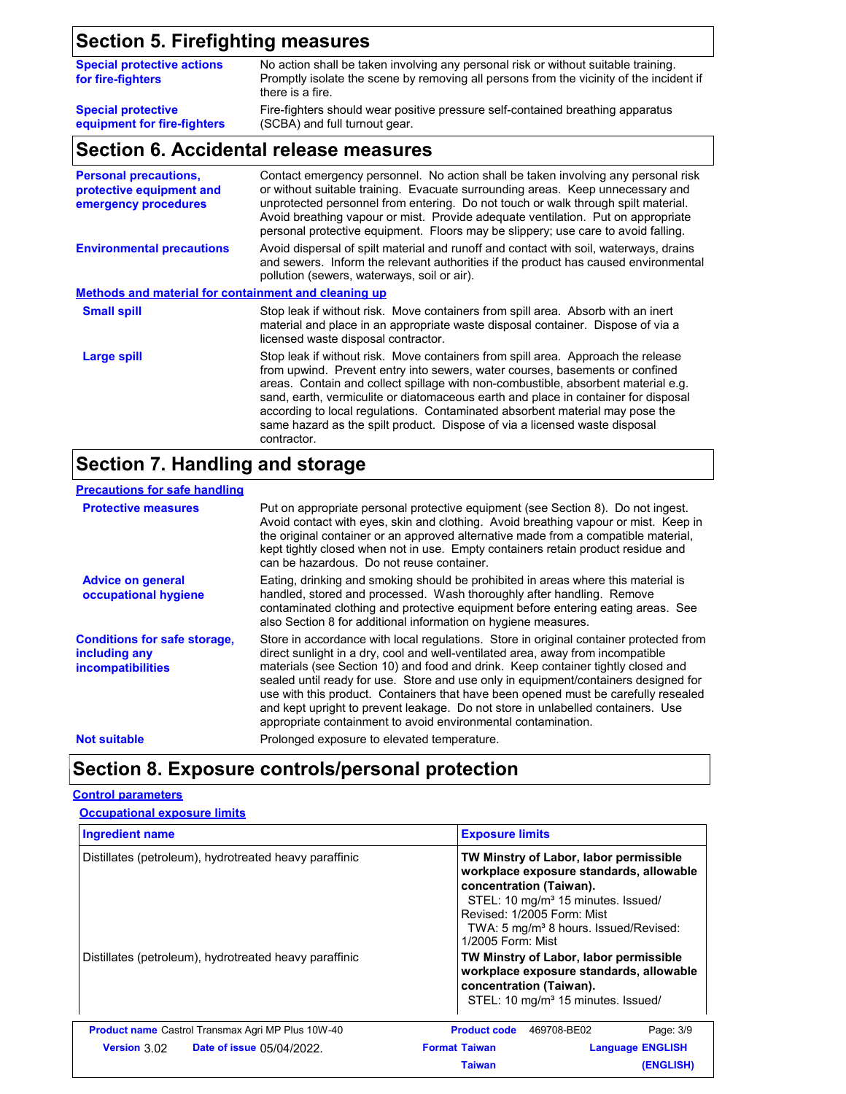## **Section 5. Firefighting measures**

| <b>Special protective actions</b><br>for fire-fighters | No action shall be taken involving any personal risk or without suitable training.<br>Promptly isolate the scene by removing all persons from the vicinity of the incident if<br>there is a fire. |
|--------------------------------------------------------|---------------------------------------------------------------------------------------------------------------------------------------------------------------------------------------------------|
| <b>Special protective</b>                              | Fire-fighters should wear positive pressure self-contained breathing apparatus                                                                                                                    |
| equipment for fire-fighters                            | (SCBA) and full turnout gear.                                                                                                                                                                     |

## **Section 6. Accidental release measures**

| <b>Personal precautions,</b><br>protective equipment and<br>emergency procedures | Contact emergency personnel. No action shall be taken involving any personal risk<br>or without suitable training. Evacuate surrounding areas. Keep unnecessary and<br>unprotected personnel from entering. Do not touch or walk through spilt material.<br>Avoid breathing vapour or mist. Provide adequate ventilation. Put on appropriate<br>personal protective equipment. Floors may be slippery; use care to avoid falling.                                                                                        |
|----------------------------------------------------------------------------------|--------------------------------------------------------------------------------------------------------------------------------------------------------------------------------------------------------------------------------------------------------------------------------------------------------------------------------------------------------------------------------------------------------------------------------------------------------------------------------------------------------------------------|
| <b>Environmental precautions</b>                                                 | Avoid dispersal of spilt material and runoff and contact with soil, waterways, drains<br>and sewers. Inform the relevant authorities if the product has caused environmental<br>pollution (sewers, waterways, soil or air).                                                                                                                                                                                                                                                                                              |
| <b>Methods and material for containment and cleaning up</b>                      |                                                                                                                                                                                                                                                                                                                                                                                                                                                                                                                          |
| <b>Small spill</b>                                                               | Stop leak if without risk. Move containers from spill area. Absorb with an inert<br>material and place in an appropriate waste disposal container. Dispose of via a<br>licensed waste disposal contractor.                                                                                                                                                                                                                                                                                                               |
| Large spill                                                                      | Stop leak if without risk. Move containers from spill area. Approach the release<br>from upwind. Prevent entry into sewers, water courses, basements or confined<br>areas. Contain and collect spillage with non-combustible, absorbent material e.g.<br>sand, earth, vermiculite or diatomaceous earth and place in container for disposal<br>according to local regulations. Contaminated absorbent material may pose the<br>same hazard as the spilt product. Dispose of via a licensed waste disposal<br>contractor. |

## **Section 7. Handling and storage**

| <b>Precautions for safe handling</b>                                             |                                                                                                                                                                                                                                                                                                                                                                                                                                                                                                                                                                                                |
|----------------------------------------------------------------------------------|------------------------------------------------------------------------------------------------------------------------------------------------------------------------------------------------------------------------------------------------------------------------------------------------------------------------------------------------------------------------------------------------------------------------------------------------------------------------------------------------------------------------------------------------------------------------------------------------|
| <b>Protective measures</b>                                                       | Put on appropriate personal protective equipment (see Section 8). Do not ingest.<br>Avoid contact with eyes, skin and clothing. Avoid breathing vapour or mist. Keep in<br>the original container or an approved alternative made from a compatible material,<br>kept tightly closed when not in use. Empty containers retain product residue and<br>can be hazardous. Do not reuse container.                                                                                                                                                                                                 |
| <b>Advice on general</b><br>occupational hygiene                                 | Eating, drinking and smoking should be prohibited in areas where this material is<br>handled, stored and processed. Wash thoroughly after handling. Remove<br>contaminated clothing and protective equipment before entering eating areas. See<br>also Section 8 for additional information on hygiene measures.                                                                                                                                                                                                                                                                               |
| <b>Conditions for safe storage.</b><br>including any<br><i>incompatibilities</i> | Store in accordance with local regulations. Store in original container protected from<br>direct sunlight in a dry, cool and well-ventilated area, away from incompatible<br>materials (see Section 10) and food and drink. Keep container tightly closed and<br>sealed until ready for use. Store and use only in equipment/containers designed for<br>use with this product. Containers that have been opened must be carefully resealed<br>and kept upright to prevent leakage. Do not store in unlabelled containers. Use<br>appropriate containment to avoid environmental contamination. |
| <b>Not suitable</b>                                                              | Prolonged exposure to elevated temperature.                                                                                                                                                                                                                                                                                                                                                                                                                                                                                                                                                    |

## **Section 8. Exposure controls/personal protection**

#### **Control parameters**

| <b>Occupational exposure limits</b> |  |
|-------------------------------------|--|
|                                     |  |

| <b>Ingredient name</b>                                   | <b>Exposure limits</b>                                                                                                                                                                                                                                                                                                                                                                                                                   |                         |
|----------------------------------------------------------|------------------------------------------------------------------------------------------------------------------------------------------------------------------------------------------------------------------------------------------------------------------------------------------------------------------------------------------------------------------------------------------------------------------------------------------|-------------------------|
| Distillates (petroleum), hydrotreated heavy paraffinic   | TW Minstry of Labor, labor permissible<br>workplace exposure standards, allowable<br>concentration (Taiwan).<br>STEL: 10 mg/m <sup>3</sup> 15 minutes. Issued/<br>Revised: 1/2005 Form: Mist<br>TWA: 5 mg/m <sup>3</sup> 8 hours. Issued/Revised:<br>1/2005 Form: Mist<br>TW Minstry of Labor, labor permissible<br>workplace exposure standards, allowable<br>concentration (Taiwan).<br>STEL: 10 mg/m <sup>3</sup> 15 minutes. Issued/ |                         |
| Distillates (petroleum), hydrotreated heavy paraffinic   |                                                                                                                                                                                                                                                                                                                                                                                                                                          |                         |
| <b>Product name</b> Castrol Transmax Agri MP Plus 10W-40 | <b>Product code</b><br>469708-BE02                                                                                                                                                                                                                                                                                                                                                                                                       | Page: 3/9               |
| <b>Version 3.02 Date of issue 0.5/04/2022</b>            | <b>Format Taiwan</b>                                                                                                                                                                                                                                                                                                                                                                                                                     | <b>Language ENGLISH</b> |
|                                                          | <b>Taiwan</b>                                                                                                                                                                                                                                                                                                                                                                                                                            | (ENGLISH)               |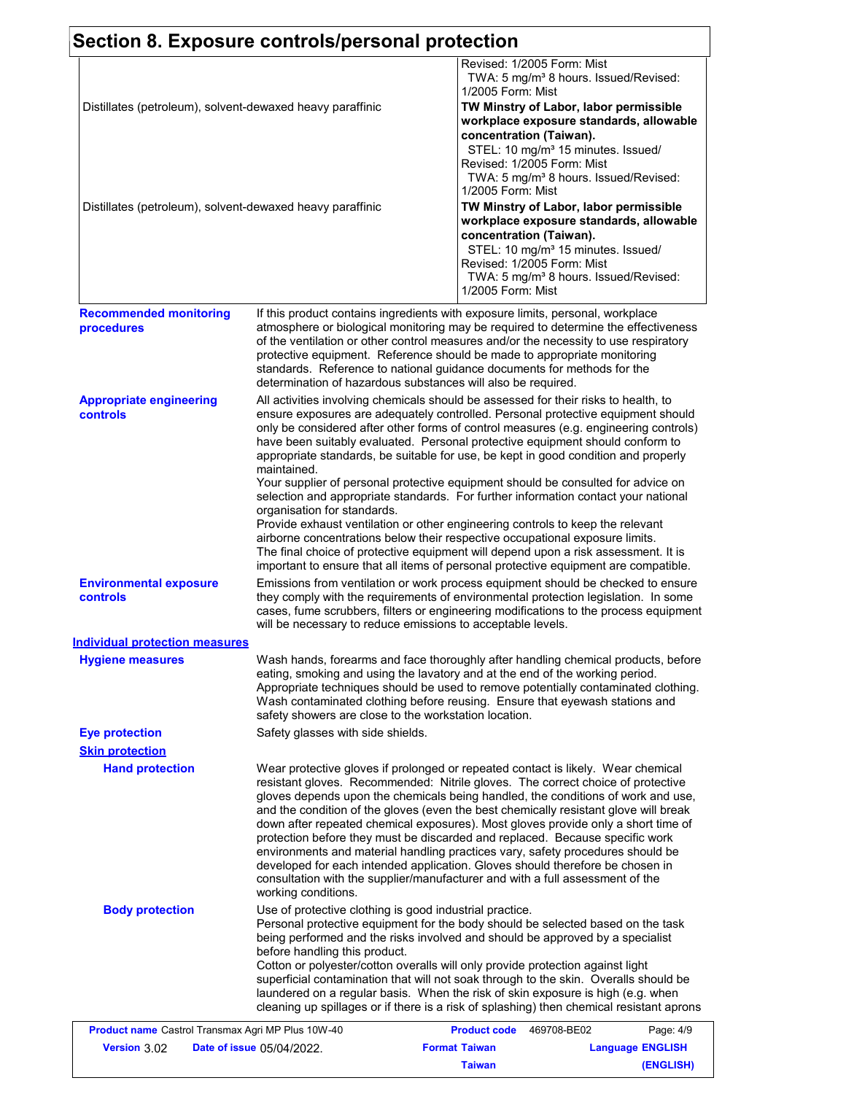|                                                           | Section 8. Exposure controls/personal protection                                                                                                                                                                                                                                                                                                        |                      |                                                                                                                                                                                                                                                                                                                                                                                                                                      |
|-----------------------------------------------------------|---------------------------------------------------------------------------------------------------------------------------------------------------------------------------------------------------------------------------------------------------------------------------------------------------------------------------------------------------------|----------------------|--------------------------------------------------------------------------------------------------------------------------------------------------------------------------------------------------------------------------------------------------------------------------------------------------------------------------------------------------------------------------------------------------------------------------------------|
|                                                           |                                                                                                                                                                                                                                                                                                                                                         | 1/2005 Form: Mist    | Revised: 1/2005 Form: Mist<br>TWA: 5 mg/m <sup>3</sup> 8 hours. Issued/Revised:                                                                                                                                                                                                                                                                                                                                                      |
| Distillates (petroleum), solvent-dewaxed heavy paraffinic |                                                                                                                                                                                                                                                                                                                                                         |                      | TW Minstry of Labor, labor permissible<br>workplace exposure standards, allowable<br>concentration (Taiwan).                                                                                                                                                                                                                                                                                                                         |
|                                                           |                                                                                                                                                                                                                                                                                                                                                         | 1/2005 Form: Mist    | STEL: 10 mg/m <sup>3</sup> 15 minutes. Issued/<br>Revised: 1/2005 Form: Mist<br>TWA: 5 mg/m <sup>3</sup> 8 hours. Issued/Revised:                                                                                                                                                                                                                                                                                                    |
| Distillates (petroleum), solvent-dewaxed heavy paraffinic |                                                                                                                                                                                                                                                                                                                                                         |                      | TW Minstry of Labor, labor permissible<br>workplace exposure standards, allowable                                                                                                                                                                                                                                                                                                                                                    |
|                                                           |                                                                                                                                                                                                                                                                                                                                                         | 1/2005 Form: Mist    | concentration (Taiwan).<br>STEL: 10 mg/m <sup>3</sup> 15 minutes. Issued/<br>Revised: 1/2005 Form: Mist<br>TWA: 5 mg/m <sup>3</sup> 8 hours. Issued/Revised:                                                                                                                                                                                                                                                                         |
| <b>Recommended monitoring</b>                             | If this product contains ingredients with exposure limits, personal, workplace                                                                                                                                                                                                                                                                          |                      |                                                                                                                                                                                                                                                                                                                                                                                                                                      |
| procedures                                                | protective equipment. Reference should be made to appropriate monitoring<br>standards. Reference to national guidance documents for methods for the<br>determination of hazardous substances will also be required.                                                                                                                                     |                      | atmosphere or biological monitoring may be required to determine the effectiveness<br>of the ventilation or other control measures and/or the necessity to use respiratory                                                                                                                                                                                                                                                           |
| <b>Appropriate engineering</b><br><b>controls</b>         | All activities involving chemicals should be assessed for their risks to health, to<br>maintained.                                                                                                                                                                                                                                                      |                      | ensure exposures are adequately controlled. Personal protective equipment should<br>only be considered after other forms of control measures (e.g. engineering controls)<br>have been suitably evaluated. Personal protective equipment should conform to<br>appropriate standards, be suitable for use, be kept in good condition and properly                                                                                      |
|                                                           | organisation for standards.<br>Provide exhaust ventilation or other engineering controls to keep the relevant<br>airborne concentrations below their respective occupational exposure limits.                                                                                                                                                           |                      | Your supplier of personal protective equipment should be consulted for advice on<br>selection and appropriate standards. For further information contact your national<br>The final choice of protective equipment will depend upon a risk assessment. It is<br>important to ensure that all items of personal protective equipment are compatible.                                                                                  |
| <b>Environmental exposure</b><br>controls                 | will be necessary to reduce emissions to acceptable levels.                                                                                                                                                                                                                                                                                             |                      | Emissions from ventilation or work process equipment should be checked to ensure<br>they comply with the requirements of environmental protection legislation. In some<br>cases, fume scrubbers, filters or engineering modifications to the process equipment                                                                                                                                                                       |
| Individual protection measures                            |                                                                                                                                                                                                                                                                                                                                                         |                      |                                                                                                                                                                                                                                                                                                                                                                                                                                      |
| <b>Hygiene measures</b>                                   | eating, smoking and using the lavatory and at the end of the working period.<br>Wash contaminated clothing before reusing. Ensure that eyewash stations and<br>safety showers are close to the workstation location.                                                                                                                                    |                      | Wash hands, forearms and face thoroughly after handling chemical products, before<br>Appropriate techniques should be used to remove potentially contaminated clothing.                                                                                                                                                                                                                                                              |
| <b>Eye protection</b>                                     | Safety glasses with side shields.                                                                                                                                                                                                                                                                                                                       |                      |                                                                                                                                                                                                                                                                                                                                                                                                                                      |
| <b>Skin protection</b>                                    |                                                                                                                                                                                                                                                                                                                                                         |                      |                                                                                                                                                                                                                                                                                                                                                                                                                                      |
| <b>Hand protection</b>                                    | protection before they must be discarded and replaced. Because specific work<br>environments and material handling practices vary, safety procedures should be<br>developed for each intended application. Gloves should therefore be chosen in<br>consultation with the supplier/manufacturer and with a full assessment of the<br>working conditions. |                      | Wear protective gloves if prolonged or repeated contact is likely. Wear chemical<br>resistant gloves. Recommended: Nitrile gloves. The correct choice of protective<br>gloves depends upon the chemicals being handled, the conditions of work and use,<br>and the condition of the gloves (even the best chemically resistant glove will break<br>down after repeated chemical exposures). Most gloves provide only a short time of |
| <b>Body protection</b>                                    | Use of protective clothing is good industrial practice.<br>being performed and the risks involved and should be approved by a specialist<br>before handling this product.<br>Cotton or polyester/cotton overalls will only provide protection against light<br>laundered on a regular basis. When the risk of skin exposure is high (e.g. when          |                      | Personal protective equipment for the body should be selected based on the task<br>superficial contamination that will not soak through to the skin. Overalls should be<br>cleaning up spillages or if there is a risk of splashing) then chemical resistant aprons                                                                                                                                                                  |
| Product name Castrol Transmax Agri MP Plus 10W-40         |                                                                                                                                                                                                                                                                                                                                                         | <b>Product code</b>  | 469708-BE02<br>Page: 4/9                                                                                                                                                                                                                                                                                                                                                                                                             |
| Version 3.02                                              | Date of issue 05/04/2022.                                                                                                                                                                                                                                                                                                                               | <b>Format Taiwan</b> | <b>Language ENGLISH</b>                                                                                                                                                                                                                                                                                                                                                                                                              |

**(ENGLISH)**

**Taiwan**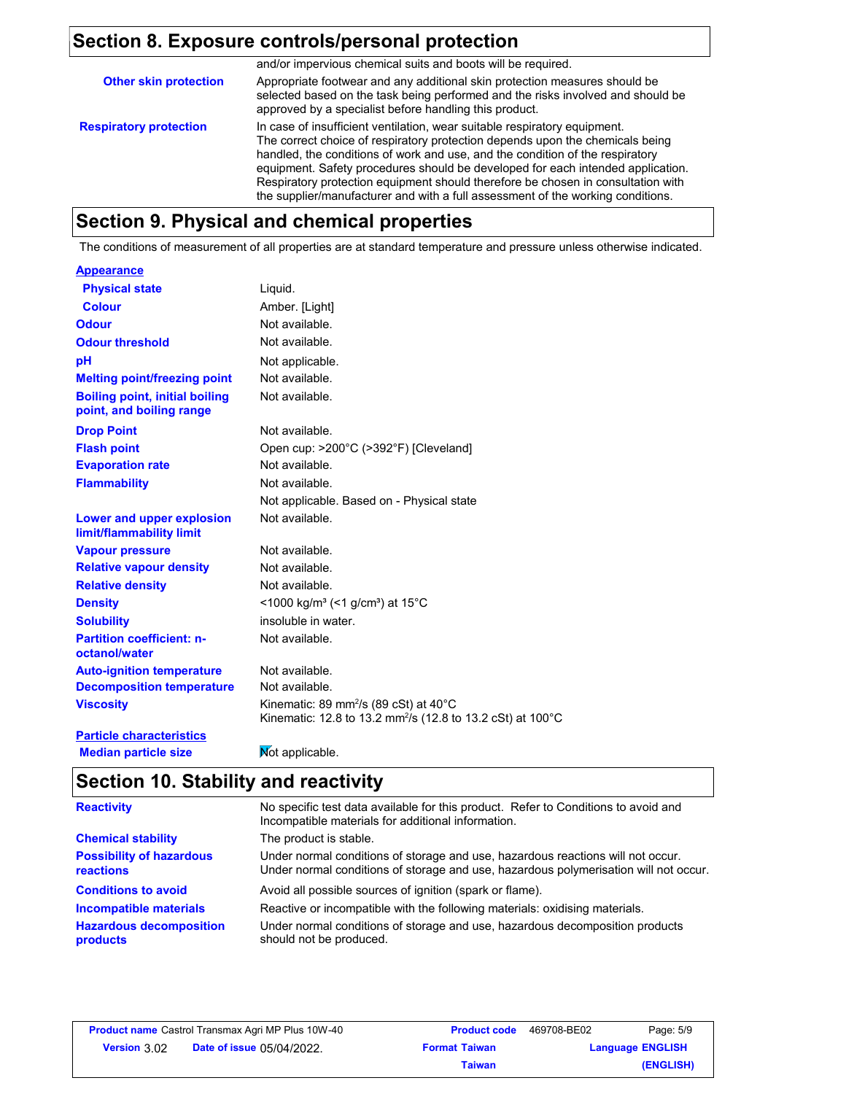## **Section 8. Exposure controls/personal protection**

|                               | and/or impervious chemical suits and boots will be required.                                                                                                                                                                                                                                                                                                                                                                                                                                          |
|-------------------------------|-------------------------------------------------------------------------------------------------------------------------------------------------------------------------------------------------------------------------------------------------------------------------------------------------------------------------------------------------------------------------------------------------------------------------------------------------------------------------------------------------------|
| <b>Other skin protection</b>  | Appropriate footwear and any additional skin protection measures should be<br>selected based on the task being performed and the risks involved and should be<br>approved by a specialist before handling this product.                                                                                                                                                                                                                                                                               |
| <b>Respiratory protection</b> | In case of insufficient ventilation, wear suitable respiratory equipment.<br>The correct choice of respiratory protection depends upon the chemicals being<br>handled, the conditions of work and use, and the condition of the respiratory<br>equipment. Safety procedures should be developed for each intended application.<br>Respiratory protection equipment should therefore be chosen in consultation with<br>the supplier/manufacturer and with a full assessment of the working conditions. |

## **Section 9. Physical and chemical properties**

The conditions of measurement of all properties are at standard temperature and pressure unless otherwise indicated.

#### **Appearance**

| <b>Physical state</b>                                             | Liquid.                                                                                                                               |
|-------------------------------------------------------------------|---------------------------------------------------------------------------------------------------------------------------------------|
| <b>Colour</b>                                                     | Amber. [Light]                                                                                                                        |
| Odour                                                             | Not available.                                                                                                                        |
| <b>Odour threshold</b>                                            | Not available.                                                                                                                        |
| рH                                                                | Not applicable.                                                                                                                       |
| <b>Melting point/freezing point</b>                               | Not available.                                                                                                                        |
| <b>Boiling point, initial boiling</b><br>point, and boiling range | Not available.                                                                                                                        |
| <b>Drop Point</b>                                                 | Not available.                                                                                                                        |
| <b>Flash point</b>                                                | Open cup: >200°C (>392°F) [Cleveland]                                                                                                 |
| <b>Evaporation rate</b>                                           | Not available.                                                                                                                        |
| <b>Flammability</b>                                               | Not available.                                                                                                                        |
|                                                                   | Not applicable. Based on - Physical state                                                                                             |
| <b>Lower and upper explosion</b><br>limit/flammability limit      | Not available.                                                                                                                        |
| <b>Vapour pressure</b>                                            | Not available.                                                                                                                        |
| <b>Relative vapour density</b>                                    | Not available.                                                                                                                        |
| <b>Relative density</b>                                           | Not available.                                                                                                                        |
| <b>Density</b>                                                    | <1000 kg/m <sup>3</sup> (<1 g/cm <sup>3</sup> ) at 15°C                                                                               |
| <b>Solubility</b>                                                 | insoluble in water.                                                                                                                   |
| <b>Partition coefficient: n-</b><br>octanol/water                 | Not available.                                                                                                                        |
| <b>Auto-ignition temperature</b>                                  | Not available.                                                                                                                        |
| <b>Decomposition temperature</b>                                  | Not available.                                                                                                                        |
| <b>Viscosity</b>                                                  | Kinematic: 89 mm <sup>2</sup> /s (89 cSt) at $40^{\circ}$ C<br>Kinematic: 12.8 to 13.2 mm <sup>2</sup> /s (12.8 to 13.2 cSt) at 100°C |
| <b>Particle characteristics</b>                                   |                                                                                                                                       |

**Median particle size Mot applicable.** 

## **Section 10. Stability and reactivity**

| <b>Reactivity</b>                            | No specific test data available for this product. Refer to Conditions to avoid and<br>Incompatible materials for additional information.                                |
|----------------------------------------------|-------------------------------------------------------------------------------------------------------------------------------------------------------------------------|
| <b>Chemical stability</b>                    | The product is stable.                                                                                                                                                  |
| <b>Possibility of hazardous</b><br>reactions | Under normal conditions of storage and use, hazardous reactions will not occur.<br>Under normal conditions of storage and use, hazardous polymerisation will not occur. |
| <b>Conditions to avoid</b>                   | Avoid all possible sources of ignition (spark or flame).                                                                                                                |
| Incompatible materials                       | Reactive or incompatible with the following materials: oxidising materials.                                                                                             |
| <b>Hazardous decomposition</b><br>products   | Under normal conditions of storage and use, hazardous decomposition products<br>should not be produced.                                                                 |

|                     | <b>Product name</b> Castrol Transmax Agri MP Plus 10W-40 | <b>Product code</b>  | 469708-BE02 | Page: 5/9               |
|---------------------|----------------------------------------------------------|----------------------|-------------|-------------------------|
| <b>Version 3.02</b> | <b>Date of issue 05/04/2022.</b>                         | <b>Format Taiwan</b> |             | <b>Language ENGLISH</b> |
|                     |                                                          | Taiwan               |             | (ENGLISH)               |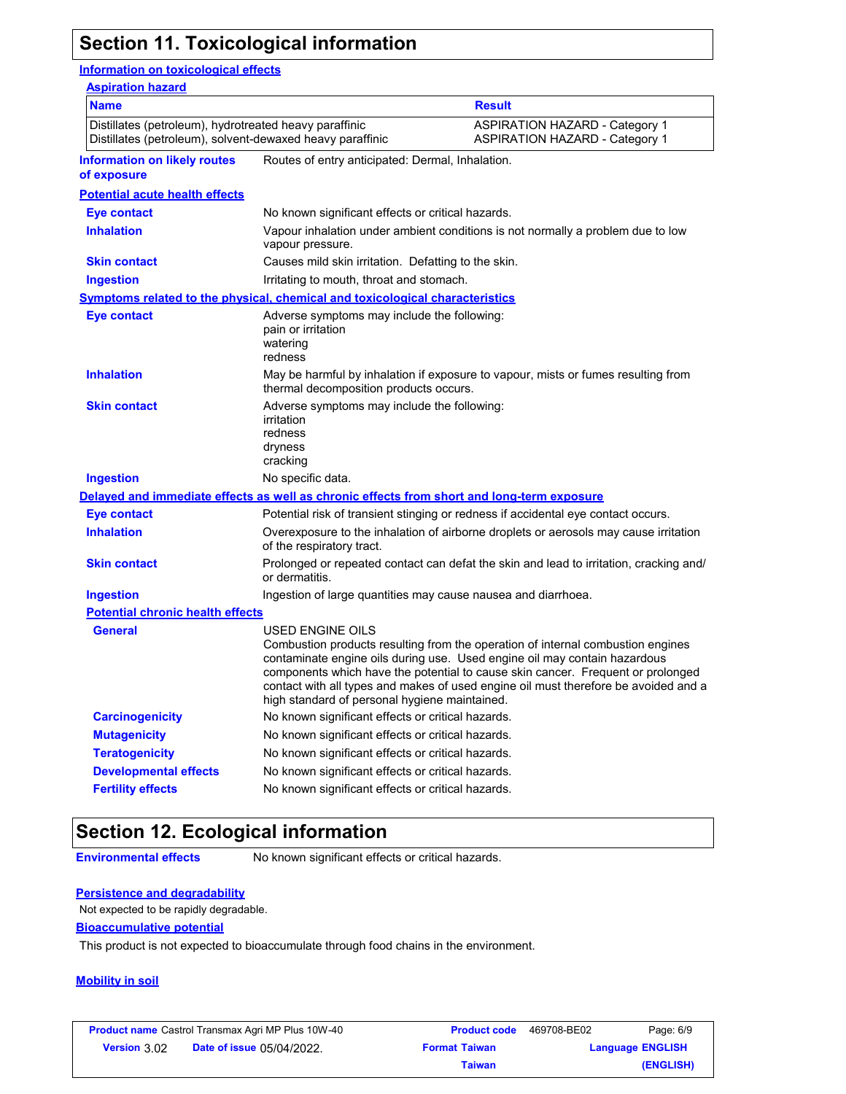## **Section 11. Toxicological information**

#### **Information on toxicological effects**

| <b>Aspiration hazard</b>                                                                                            |                                                                                             |                                                                                                                                                                                                                                                                                                                                        |
|---------------------------------------------------------------------------------------------------------------------|---------------------------------------------------------------------------------------------|----------------------------------------------------------------------------------------------------------------------------------------------------------------------------------------------------------------------------------------------------------------------------------------------------------------------------------------|
| <b>Name</b>                                                                                                         |                                                                                             | <b>Result</b>                                                                                                                                                                                                                                                                                                                          |
| Distillates (petroleum), hydrotreated heavy paraffinic<br>Distillates (petroleum), solvent-dewaxed heavy paraffinic |                                                                                             | <b>ASPIRATION HAZARD - Category 1</b><br><b>ASPIRATION HAZARD - Category 1</b>                                                                                                                                                                                                                                                         |
| <b>Information on likely routes</b><br>of exposure                                                                  | Routes of entry anticipated: Dermal, Inhalation.                                            |                                                                                                                                                                                                                                                                                                                                        |
| <b>Potential acute health effects</b>                                                                               |                                                                                             |                                                                                                                                                                                                                                                                                                                                        |
| <b>Eye contact</b>                                                                                                  | No known significant effects or critical hazards.                                           |                                                                                                                                                                                                                                                                                                                                        |
| <b>Inhalation</b>                                                                                                   | vapour pressure.                                                                            | Vapour inhalation under ambient conditions is not normally a problem due to low                                                                                                                                                                                                                                                        |
| <b>Skin contact</b>                                                                                                 | Causes mild skin irritation. Defatting to the skin.                                         |                                                                                                                                                                                                                                                                                                                                        |
| <b>Ingestion</b>                                                                                                    | Irritating to mouth, throat and stomach.                                                    |                                                                                                                                                                                                                                                                                                                                        |
|                                                                                                                     | <b>Symptoms related to the physical, chemical and toxicological characteristics</b>         |                                                                                                                                                                                                                                                                                                                                        |
| <b>Eye contact</b>                                                                                                  | Adverse symptoms may include the following:<br>pain or irritation<br>watering<br>redness    |                                                                                                                                                                                                                                                                                                                                        |
| <b>Inhalation</b>                                                                                                   | thermal decomposition products occurs.                                                      | May be harmful by inhalation if exposure to vapour, mists or fumes resulting from                                                                                                                                                                                                                                                      |
| <b>Skin contact</b>                                                                                                 | Adverse symptoms may include the following:<br>irritation<br>redness<br>dryness<br>cracking |                                                                                                                                                                                                                                                                                                                                        |
| Ingestion                                                                                                           | No specific data.                                                                           |                                                                                                                                                                                                                                                                                                                                        |
|                                                                                                                     | Delayed and immediate effects as well as chronic effects from short and long-term exposure  |                                                                                                                                                                                                                                                                                                                                        |
| <b>Eye contact</b>                                                                                                  |                                                                                             | Potential risk of transient stinging or redness if accidental eye contact occurs.                                                                                                                                                                                                                                                      |
| <b>Inhalation</b>                                                                                                   | of the respiratory tract.                                                                   | Overexposure to the inhalation of airborne droplets or aerosols may cause irritation                                                                                                                                                                                                                                                   |
| <b>Skin contact</b>                                                                                                 | or dermatitis.                                                                              | Prolonged or repeated contact can defat the skin and lead to irritation, cracking and/                                                                                                                                                                                                                                                 |
| <b>Ingestion</b>                                                                                                    | Ingestion of large quantities may cause nausea and diarrhoea.                               |                                                                                                                                                                                                                                                                                                                                        |
| <b>Potential chronic health effects</b>                                                                             |                                                                                             |                                                                                                                                                                                                                                                                                                                                        |
| <b>General</b>                                                                                                      | USED ENGINE OILS<br>high standard of personal hygiene maintained.                           | Combustion products resulting from the operation of internal combustion engines<br>contaminate engine oils during use. Used engine oil may contain hazardous<br>components which have the potential to cause skin cancer. Frequent or prolonged<br>contact with all types and makes of used engine oil must therefore be avoided and a |
| <b>Carcinogenicity</b>                                                                                              | No known significant effects or critical hazards.                                           |                                                                                                                                                                                                                                                                                                                                        |
| <b>Mutagenicity</b>                                                                                                 | No known significant effects or critical hazards.                                           |                                                                                                                                                                                                                                                                                                                                        |
| <b>Teratogenicity</b>                                                                                               | No known significant effects or critical hazards.                                           |                                                                                                                                                                                                                                                                                                                                        |
| <b>Developmental effects</b>                                                                                        | No known significant effects or critical hazards.                                           |                                                                                                                                                                                                                                                                                                                                        |
| <b>Fertility effects</b>                                                                                            | No known significant effects or critical hazards.                                           |                                                                                                                                                                                                                                                                                                                                        |
|                                                                                                                     |                                                                                             |                                                                                                                                                                                                                                                                                                                                        |

## **Section 12. Ecological information**

**Environmental effects** No known significant effects or critical hazards.

#### **Persistence and degradability**

Not expected to be rapidly degradable.

#### **Bioaccumulative potential**

This product is not expected to bioaccumulate through food chains in the environment.

#### **Mobility in soil**

|                     | <b>Product name</b> Castrol Transmax Agri MP Plus 10W-40 | <b>Product code</b>  | 469708-BE02 | Page: 6/9               |
|---------------------|----------------------------------------------------------|----------------------|-------------|-------------------------|
| <b>Version 3.02</b> | <b>Date of issue 05/04/2022.</b>                         | <b>Format Taiwan</b> |             | <b>Language ENGLISH</b> |
|                     |                                                          | Taiwan               |             | (ENGLISH)               |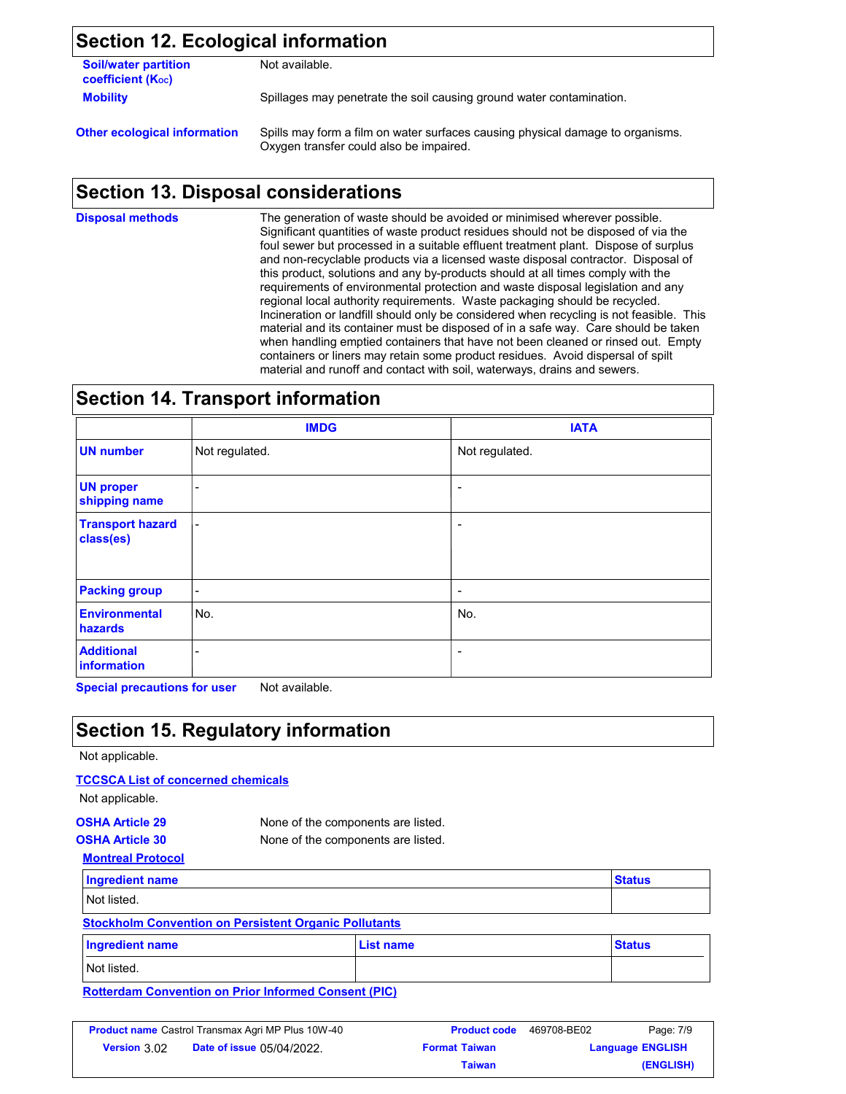### **Section 12. Ecological information**

| <b>Soil/water partition</b> | Not available. |
|-----------------------------|----------------|
| <b>coefficient (Koc)</b>    |                |
| <b>Mobility</b>             | Spillages may  |

ges may penetrate the soil causing ground water contamination.

**Other ecological information** Spills may form a film on water surfaces causing physical damage to organisms. Oxygen transfer could also be impaired.

## **Section 13. Disposal considerations**

The generation of waste should be avoided or minimised wherever possible. Significant quantities of waste product residues should not be disposed of via the foul sewer but processed in a suitable effluent treatment plant. Dispose of surplus and non-recyclable products via a licensed waste disposal contractor. Disposal of this product, solutions and any by-products should at all times comply with the requirements of environmental protection and waste disposal legislation and any regional local authority requirements. Waste packaging should be recycled. Incineration or landfill should only be considered when recycling is not feasible. This material and its container must be disposed of in a safe way. Care should be taken when handling emptied containers that have not been cleaned or rinsed out. Empty containers or liners may retain some product residues. Avoid dispersal of spilt material and runoff and contact with soil, waterways, drains and sewers. **Disposal methods**

### **Section 14. Transport information**

|                                      | <b>IMDG</b>              | <b>IATA</b>              |
|--------------------------------------|--------------------------|--------------------------|
| <b>UN number</b>                     | Not regulated.           | Not regulated.           |
| <b>UN proper</b><br>shipping name    | $\overline{\phantom{0}}$ | $\overline{\phantom{0}}$ |
| <b>Transport hazard</b><br>class(es) | $\overline{\phantom{a}}$ | $\overline{\phantom{a}}$ |
| <b>Packing group</b>                 | $\overline{\phantom{a}}$ | -                        |
| <b>Environmental</b><br>hazards      | No.                      | No.                      |
| <b>Additional</b><br>information     |                          | -                        |

**Special precautions for user** Not available.

### **Section 15. Regulatory information**

#### Not applicable.

#### **TCCSCA List of concerned chemicals**

Not applicable.

| <b>OSHA Article 29</b> | None of the components are listed.                                                                                                                                                                                               |
|------------------------|----------------------------------------------------------------------------------------------------------------------------------------------------------------------------------------------------------------------------------|
| <b>AAIII I II AA</b>   | $\mathbf{r}$ , and the set of the set of the set of the set of the set of the set of the set of the set of the set of the set of the set of the set of the set of the set of the set of the set of the set of the set of the set |

**Montreal Protocol OSHA Article 30** None of the components are listed.

| <b>Ingredient name</b>                                       | <b>Status</b> |
|--------------------------------------------------------------|---------------|
| Not listed.                                                  |               |
| <b>Stockholm Convention on Persistent Organic Pollutants</b> |               |

| Ingredient name | <b>List name</b> | <b>Status</b> |
|-----------------|------------------|---------------|
| Not listed.     |                  |               |

#### **Rotterdam Convention on Prior Informed Consent (PIC)**

| <b>Product name</b> Castrol Transmax Agri MP Plus 10W-40 |                                  | <b>Product code</b>  | 469708-BE02             | Page: 7/9 |
|----------------------------------------------------------|----------------------------------|----------------------|-------------------------|-----------|
| <b>Version 3.02</b>                                      | <b>Date of issue 05/04/2022.</b> | <b>Format Taiwan</b> | <b>Language ENGLISH</b> |           |
|                                                          |                                  | <b>Taiwan</b>        |                         | (ENGLISH) |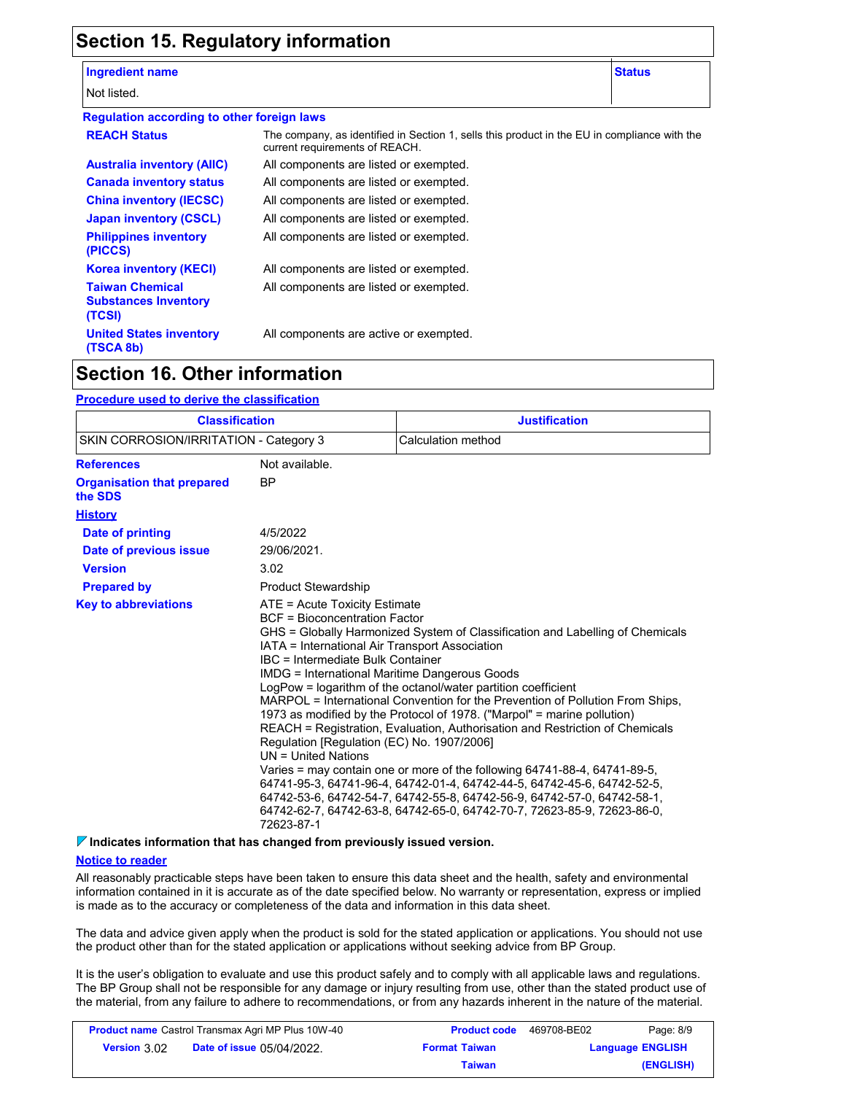## **Section 15. Regulatory information**

#### **Ingredient name Status**

Not listed.

**(TSCA 8b)**

| . J |  |  |  |  |
|-----|--|--|--|--|
|     |  |  |  |  |
|     |  |  |  |  |
|     |  |  |  |  |

| <b>Regulation according to other foreign laws</b>               |                                                                                                                                |
|-----------------------------------------------------------------|--------------------------------------------------------------------------------------------------------------------------------|
| <b>REACH Status</b>                                             | The company, as identified in Section 1, sells this product in the EU in compliance with the<br>current requirements of REACH. |
| <b>Australia inventory (AIIC)</b>                               | All components are listed or exempted.                                                                                         |
| <b>Canada inventory status</b>                                  | All components are listed or exempted.                                                                                         |
| <b>China inventory (IECSC)</b>                                  | All components are listed or exempted.                                                                                         |
| <b>Japan inventory (CSCL)</b>                                   | All components are listed or exempted.                                                                                         |
| <b>Philippines inventory</b><br>(PICCS)                         | All components are listed or exempted.                                                                                         |
| <b>Korea inventory (KECI)</b>                                   | All components are listed or exempted.                                                                                         |
| <b>Taiwan Chemical</b><br><b>Substances Inventory</b><br>(TCSI) | All components are listed or exempted.                                                                                         |
| <b>United States inventory</b>                                  | All components are active or exempted.                                                                                         |

### **Section 16. Other information**

#### **Procedure used to derive the classification**

| <b>Classification</b><br>SKIN CORROSION/IRRITATION - Category 3                                                                                                      |                            | <b>Justification</b><br>Calculation method                                                                                                                                                                                                                                                                                                                                                                                                                                                                                                                                                                                                                                                                                                                                                                                                                             |  |
|----------------------------------------------------------------------------------------------------------------------------------------------------------------------|----------------------------|------------------------------------------------------------------------------------------------------------------------------------------------------------------------------------------------------------------------------------------------------------------------------------------------------------------------------------------------------------------------------------------------------------------------------------------------------------------------------------------------------------------------------------------------------------------------------------------------------------------------------------------------------------------------------------------------------------------------------------------------------------------------------------------------------------------------------------------------------------------------|--|
|                                                                                                                                                                      |                            |                                                                                                                                                                                                                                                                                                                                                                                                                                                                                                                                                                                                                                                                                                                                                                                                                                                                        |  |
| <b>Organisation that prepared</b><br>the SDS                                                                                                                         | BP                         |                                                                                                                                                                                                                                                                                                                                                                                                                                                                                                                                                                                                                                                                                                                                                                                                                                                                        |  |
| <b>History</b>                                                                                                                                                       |                            |                                                                                                                                                                                                                                                                                                                                                                                                                                                                                                                                                                                                                                                                                                                                                                                                                                                                        |  |
| Date of printing                                                                                                                                                     | 4/5/2022                   |                                                                                                                                                                                                                                                                                                                                                                                                                                                                                                                                                                                                                                                                                                                                                                                                                                                                        |  |
| Date of previous issue                                                                                                                                               | 29/06/2021.                |                                                                                                                                                                                                                                                                                                                                                                                                                                                                                                                                                                                                                                                                                                                                                                                                                                                                        |  |
| <b>Version</b>                                                                                                                                                       | 3.02                       |                                                                                                                                                                                                                                                                                                                                                                                                                                                                                                                                                                                                                                                                                                                                                                                                                                                                        |  |
| <b>Prepared by</b>                                                                                                                                                   | <b>Product Stewardship</b> |                                                                                                                                                                                                                                                                                                                                                                                                                                                                                                                                                                                                                                                                                                                                                                                                                                                                        |  |
| <b>Key to abbreviations</b><br>$ATE = Acute Toxicity Estimate$<br><b>BCF</b> = Bioconcentration Factor<br>IBC = Intermediate Bulk Container<br>$UN = United Nations$ |                            | GHS = Globally Harmonized System of Classification and Labelling of Chemicals<br>IATA = International Air Transport Association<br><b>IMDG</b> = International Maritime Dangerous Goods<br>LogPow = logarithm of the octanol/water partition coefficient<br>MARPOL = International Convention for the Prevention of Pollution From Ships,<br>1973 as modified by the Protocol of 1978. ("Marpol" = marine pollution)<br>REACH = Registration, Evaluation, Authorisation and Restriction of Chemicals<br>Regulation [Regulation (EC) No. 1907/2006]<br>Varies = may contain one or more of the following $64741-88-4$ , $64741-89-5$ ,<br>64741-95-3, 64741-96-4, 64742-01-4, 64742-44-5, 64742-45-6, 64742-52-5,<br>64742-53-6, 64742-54-7, 64742-55-8, 64742-56-9, 64742-57-0, 64742-58-1,<br>64742-62-7, 64742-63-8, 64742-65-0, 64742-70-7, 72623-85-9, 72623-86-0, |  |

**Indicates information that has changed from previously issued version.**

#### **Notice to reader**

All reasonably practicable steps have been taken to ensure this data sheet and the health, safety and environmental information contained in it is accurate as of the date specified below. No warranty or representation, express or implied is made as to the accuracy or completeness of the data and information in this data sheet.

The data and advice given apply when the product is sold for the stated application or applications. You should not use the product other than for the stated application or applications without seeking advice from BP Group.

It is the user's obligation to evaluate and use this product safely and to comply with all applicable laws and regulations. The BP Group shall not be responsible for any damage or injury resulting from use, other than the stated product use of the material, from any failure to adhere to recommendations, or from any hazards inherent in the nature of the material.

| <b>Product name</b> Castrol Transmax Agri MP Plus 10W-40 |                                  | <b>Product code</b>  | 469708-BE02 | Page: 8/9               |
|----------------------------------------------------------|----------------------------------|----------------------|-------------|-------------------------|
| Version 3.02                                             | <b>Date of issue 05/04/2022.</b> | <b>Format Taiwan</b> |             | <b>Language ENGLISH</b> |
|                                                          |                                  | Taiwan               |             | (ENGLISH)               |